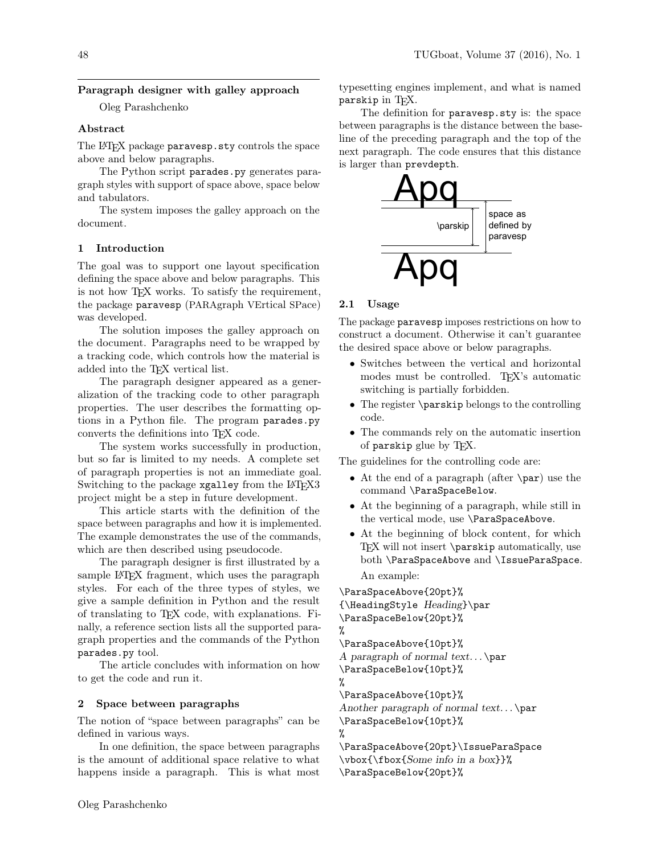# Paragraph designer with galley approach

Oleg Parashchenko

## Abstract

The L<sup>AT</sup>EX package paravesp.sty controls the space above and below paragraphs.

The Python script parades.py generates paragraph styles with support of space above, space below and tabulators.

The system imposes the galley approach on the document.

### 1 Introduction

The goal was to support one layout specification defining the space above and below paragraphs. This is not how TFX works. To satisfy the requirement, the package paravesp (PARAgraph VErtical SPace) was developed.

The solution imposes the galley approach on the document. Paragraphs need to be wrapped by a tracking code, which controls how the material is added into the T<sub>F</sub>X vertical list.

The paragraph designer appeared as a generalization of the tracking code to other paragraph properties. The user describes the formatting options in a Python file. The program parades.py converts the definitions into TEX code.

The system works successfully in production, but so far is limited to my needs. A complete set of paragraph properties is not an immediate goal. Switching to the package xgalley from the LATFX3 project might be a step in future development.

This article starts with the definition of the space between paragraphs and how it is implemented. The example demonstrates the use of the commands, which are then described using pseudocode.

The paragraph designer is first illustrated by a sample L<sup>AT</sup>EX fragment, which uses the paragraph styles. For each of the three types of styles, we give a sample definition in Python and the result of translating to TEX code, with explanations. Finally, a reference section lists all the supported paragraph properties and the commands of the Python parades.py tool.

The article concludes with information on how to get the code and run it.

#### 2 Space between paragraphs

The notion of "space between paragraphs" can be defined in various ways.

In one definition, the space between paragraphs is the amount of additional space relative to what happens inside a paragraph. This is what most

typesetting engines implement, and what is named parskip in TFX.

The definition for paravesp.sty is: the space between paragraphs is the distance between the baseline of the preceding paragraph and the top of the next paragraph. The code ensures that this distance is larger than prevdepth.



### 2.1 Usage

The package paravesp imposes restrictions on how to construct a document. Otherwise it can't guarantee the desired space above or below paragraphs.

- Switches between the vertical and horizontal modes must be controlled. T<sub>EX</sub>'s automatic switching is partially forbidden.
- The register \parskip belongs to the controlling code.
- The commands rely on the automatic insertion of parskip glue by TEX.

The guidelines for the controlling code are:

- At the end of a paragraph (after \par) use the command \ParaSpaceBelow.
- At the beginning of a paragraph, while still in the vertical mode, use \ParaSpaceAbove.
- At the beginning of block content, for which T<sub>F</sub>X will not insert \parskip automatically, use both \ParaSpaceAbove and \IssueParaSpace.

An example:

\ParaSpaceAbove{20pt}% {\HeadingStyle Heading}\par \ParaSpaceBelow{20pt}% % \ParaSpaceAbove{10pt}% A paragraph of normal text... $\parbox{0.7\textwidth}{\textwidth}{\begin{minipage}{0.99\linewidth}} \textbf{0.6} & \textbf{1.6} & \textbf{2.7} \\ \textbf{2.7} & \textbf{3.7} & \textbf{4.7} & \textbf{5.7} \\ \textbf{4.8} & \textbf{5.7} & \textbf{6.7} & \textbf{7.7} \\ \textbf{6.8} & \textbf{7.8} & \textbf{8.8} & \textbf{9.8} \\ \textbf{8.9} & \textbf{9.8} & \textbf{1.8} &$ \ParaSpaceBelow{10pt}% % \ParaSpaceAbove{10pt}% Another paragraph of normal text... $\parrow$ par \ParaSpaceBelow{10pt}% % \ParaSpaceAbove{20pt}\IssueParaSpace

\vbox{\fbox{Some info in a box}}% \ParaSpaceBelow{20pt}%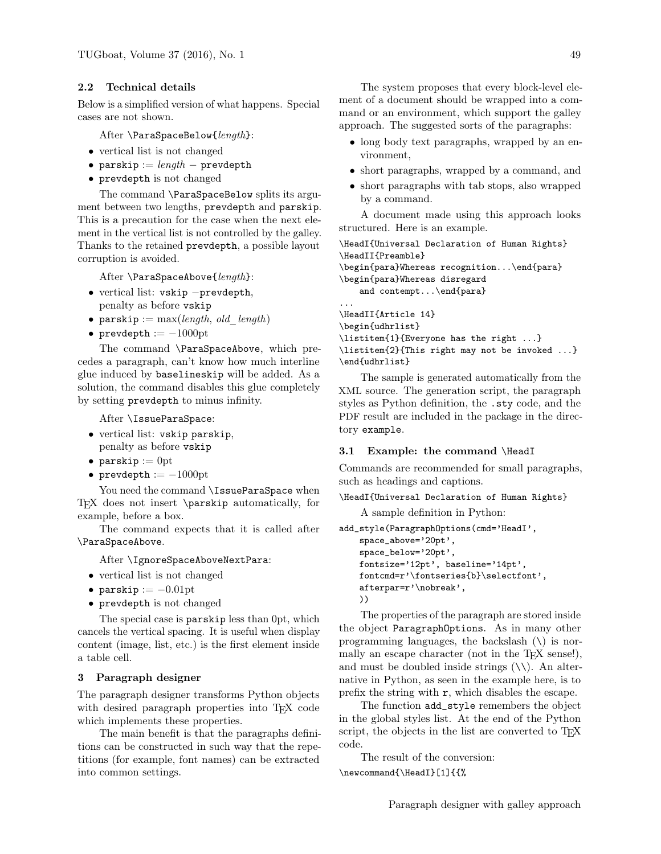#### 2.2 Technical details

Below is a simplified version of what happens. Special cases are not shown.

After \ParaSpaceBelow{length}:

- vertical list is not changed
- parskip :=  $length -$  prevdepth
- prevdepth is not changed

The command \ParaSpaceBelow splits its argument between two lengths, prevdepth and parskip. This is a precaution for the case when the next element in the vertical list is not controlled by the galley. Thanks to the retained prevdepth, a possible layout corruption is avoided.

After \ParaSpaceAbove{length}:

- vertical list: vskip −prevdepth, penalty as before vskip
- parskip :=  $max(length, old \ length)$
- prevdepth  $:=-1000$ pt

The command \ParaSpaceAbove, which precedes a paragraph, can't know how much interline glue induced by baselineskip will be added. As a solution, the command disables this glue completely by setting prevdepth to minus infinity.

After \IssueParaSpace:

- vertical list: vskip parskip, penalty as before vskip
- parskip  $:= 0$ pt
- prevdepth  $:=-1000$ pt

You need the command \IssueParaSpace when TEX does not insert \parskip automatically, for example, before a box.

The command expects that it is called after \ParaSpaceAbove.

After \IgnoreSpaceAboveNextPara:

- vertical list is not changed
- parskip  $:=-0.01$ pt
- prevdepth is not changed

The special case is parskip less than 0pt, which cancels the vertical spacing. It is useful when display content (image, list, etc.) is the first element inside a table cell.

#### 3 Paragraph designer

The paragraph designer transforms Python objects with desired paragraph properties into T<sub>F</sub>X code which implements these properties.

The main benefit is that the paragraphs definitions can be constructed in such way that the repetitions (for example, font names) can be extracted into common settings.

The system proposes that every block-level element of a document should be wrapped into a command or an environment, which support the galley approach. The suggested sorts of the paragraphs:

- long body text paragraphs, wrapped by an environment,
- short paragraphs, wrapped by a command, and
- short paragraphs with tab stops, also wrapped by a command.

A document made using this approach looks structured. Here is an example.

```
\HeadI{Universal Declaration of Human Rights}
\HeadII{Preamble}
\begin{para}Whereas recognition...\end{para}
\begin{para}Whereas disregard
   and contempt...\end{para}
...
\HeadII{Article 14}
\begin{udhrlist}
\listitem{1}{Everyone has the right ...}
```
\listitem{2}{This right may not be invoked ...} \end{udhrlist}

The sample is generated automatically from the XML source. The generation script, the paragraph styles as Python definition, the .sty code, and the PDF result are included in the package in the directory example.

#### 3.1 Example: the command \HeadI

Commands are recommended for small paragraphs, such as headings and captions.

\HeadI{Universal Declaration of Human Rights}

A sample definition in Python:

```
add_style(ParagraphOptions(cmd='HeadI',
   space_above='20pt',
```

```
space_below='20pt',
fontsize='12pt', baseline='14pt',
fontcmd=r'\fontseries{b}\selectfont',
afterpar=r'\nobreak',
))
```
The properties of the paragraph are stored inside the object ParagraphOptions. As in many other programming languages, the backslash  $(\setminus)$  is normally an escape character (not in the T<sub>EX</sub> sense!), and must be doubled inside strings  $(\setminus)$ . An alternative in Python, as seen in the example here, is to prefix the string with  $r$ , which disables the escape.

The function add\_style remembers the object in the global styles list. At the end of the Python script, the objects in the list are converted to T<sub>E</sub>X code.

The result of the conversion: \newcommand{\HeadI}[1]{{%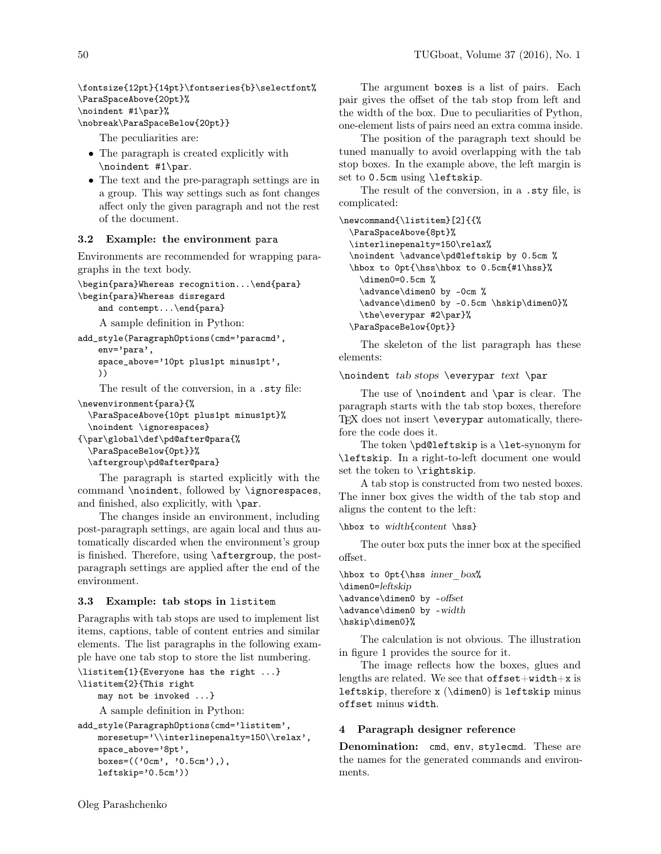\fontsize{12pt}{14pt}\fontseries{b}\selectfont% \ParaSpaceAbove{20pt}% \noindent #1\par}%

\nobreak\ParaSpaceBelow{20pt}}

The peculiarities are:

- The paragraph is created explicitly with \noindent #1\par.
- The text and the pre-paragraph settings are in a group. This way settings such as font changes affect only the given paragraph and not the rest of the document.

### 3.2 Example: the environment para

Environments are recommended for wrapping paragraphs in the text body.

```
\begin{para}Whereas recognition...\end{para}
\begin{para}Whereas disregard
```
and contempt...\end{para}

A sample definition in Python:

```
add_style(ParagraphOptions(cmd='paracmd',
   env='para',
   space_above='10pt plus1pt minus1pt',
   ))
```
The result of the conversion, in a .sty file:

```
\newenvironment{para}{%
```
\ParaSpaceAbove{10pt plus1pt minus1pt}% \noindent \ignorespaces}

```
{\par\global\def\pd@after@para{%
  \ParaSpaceBelow{0pt}}%
```

```
\aftergroup\pd@after@para}
```
The paragraph is started explicitly with the command \noindent, followed by \ignorespaces, and finished, also explicitly, with \par.

The changes inside an environment, including post-paragraph settings, are again local and thus automatically discarded when the environment's group is finished. Therefore, using \aftergroup, the postparagraph settings are applied after the end of the environment.

# 3.3 Example: tab stops in listitem

Paragraphs with tab stops are used to implement list items, captions, table of content entries and similar elements. The list paragraphs in the following example have one tab stop to store the list numbering.

```
\listitem{1}{Everyone has the right ...}
```

```
\listitem{2}{This right
```

```
may not be invoked ...}
```
A sample definition in Python:

```
add_style(ParagraphOptions(cmd='listitem',
   moresetup='\\interlinepenalty=150\\relax',
   space_above='8pt',
   boxes=(('0cm', '0.5cm'),),
   leftskip='0.5cm'))
```
The argument boxes is a list of pairs. Each pair gives the offset of the tab stop from left and the width of the box. Due to peculiarities of Python, one-element lists of pairs need an extra comma inside.

The position of the paragraph text should be tuned manually to avoid overlapping with the tab stop boxes. In the example above, the left margin is set to 0.5cm using \leftskip.

The result of the conversion, in a .sty file, is complicated:

```
\newcommand{\listitem}[2]{{%
  \ParaSpaceAbove{8pt}%
  \interlinepenalty=150\relax%
  \noindent \advance\pd@leftskip by 0.5cm %
  \hbox to 0pt{\hss\hbox to 0.5cm{#1\hss}%
    \dimen0=0.5cm %
    \advance\dimen0 by -0cm %
   \advance\dimen0 by -0.5cm \hskip\dimen0}%
    \the\everypar #2\par}%
  \ParaSpaceBelow{0pt}}
```
The skeleton of the list paragraph has these elements:

\noindent tab stops \everypar text \par

The use of \noindent and \par is clear. The paragraph starts with the tab stop boxes, therefore TEX does not insert \everypar automatically, therefore the code does it.

The token \pd@leftskip is a \let-synonym for \leftskip. In a right-to-left document one would set the token to \rightskip.

A tab stop is constructed from two nested boxes. The inner box gives the width of the tab stop and aligns the content to the left:

```
\hbox to width{content \hss}
```
The outer box puts the inner box at the specified offset.

```
\hbox to 0pt{\hss inner_box%
\dimen0=leftskip
\advance\dimen0 by -offset
\advance\dimen0 by -width
\hskip\dimen0}%
```
The calculation is not obvious. The illustration in figure [1](#page-3-0) provides the source for it.

The image reflects how the boxes, glues and lengths are related. We see that  $offset+width+x$  is leftskip, therefore  $x$  ( $\dim$ en0) is leftskip minus offset minus width.

### 4 Paragraph designer reference

Denomination: cmd, env, stylecmd. These are the names for the generated commands and environments.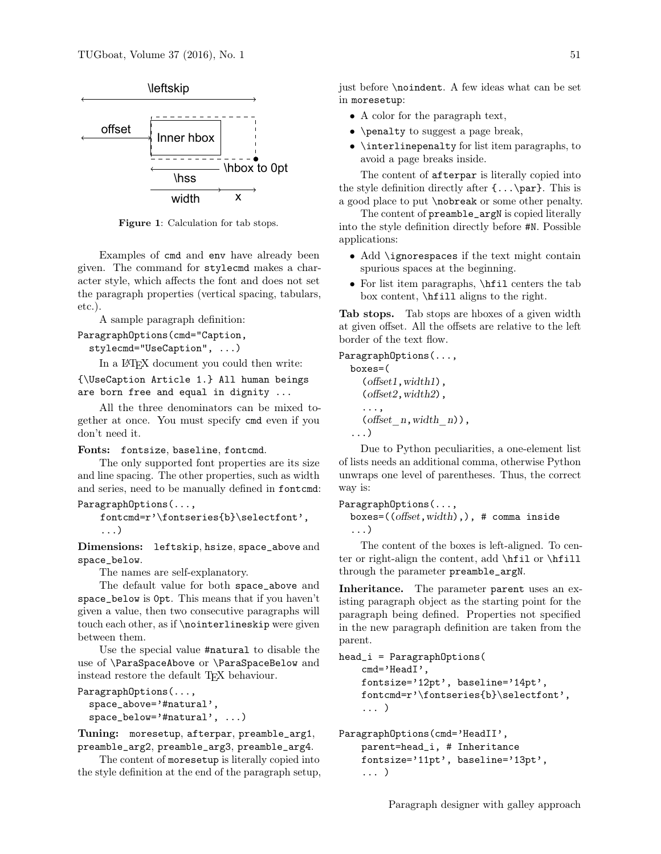

<span id="page-3-0"></span>Figure 1: Calculation for tab stops.

Examples of cmd and env have already been given. The command for stylecmd makes a character style, which affects the font and does not set the paragraph properties (vertical spacing, tabulars, etc.).

A sample paragraph definition:

```
ParagraphOptions(cmd="Caption,
```
stylecmd="UseCaption", ...)

In a L<sup>AT</sup>EX document you could then write:

```
{\UseCaption Article 1.} All human beings
are born free and equal in dignity ...
```
All the three denominators can be mixed together at once. You must specify cmd even if you don't need it.

#### Fonts: fontsize, baseline, fontcmd.

The only supported font properties are its size and line spacing. The other properties, such as width and series, need to be manually defined in fontcmd: ParagraphOptions(...,

```
fontcmd=r'\fontseries{b}\selectfont',
...)
```
Dimensions: leftskip, hsize, space\_above and space\_below.

The names are self-explanatory.

The default value for both space\_above and space\_below is 0pt. This means that if you haven't given a value, then two consecutive paragraphs will touch each other, as if \nointerlineskip were given between them.

Use the special value #natural to disable the use of \ParaSpaceAbove or \ParaSpaceBelow and instead restore the default TEX behaviour.

```
ParagraphOptions(...,
  space_above='#natural',
  space_below='#natural', ...)
```
Tuning: moresetup, afterpar, preamble\_arg1, preamble\_arg2, preamble\_arg3, preamble\_arg4.

The content of moresetup is literally copied into the style definition at the end of the paragraph setup, just before \noindent. A few ideas what can be set in moresetup:

- A color for the paragraph text,
- \penalty to suggest a page break,
- \interlinepenalty for list item paragraphs, to avoid a page breaks inside.

The content of afterpar is literally copied into the style definition directly after  $\{\ldots\$ par}. This is a good place to put \nobreak or some other penalty.

The content of preamble\_argN is copied literally into the style definition directly before #N. Possible applications:

- Add \ignorespaces if the text might contain spurious spaces at the beginning.
- For list item paragraphs, \hfil centers the tab box content, \hfill aligns to the right.

Tab stops. Tab stops are hboxes of a given width at given offset. All the offsets are relative to the left border of the text flow.

```
ParagraphOptions(...,
  boxes=(
     (offset1,width1),
     (offset2,width2),
     ...,
     (\text{offset } n, \text{width } n),
   ...)
```
Due to Python peculiarities, a one-element list of lists needs an additional comma, otherwise Python unwraps one level of parentheses. Thus, the correct way is:

```
ParagraphOptions(...,
```

```
boxes=((offset,width),), # comma inside
...)
```
The content of the boxes is left-aligned. To center or right-align the content, add \hfil or \hfill through the parameter preamble\_argN.

Inheritance. The parameter parent uses an existing paragraph object as the starting point for the paragraph being defined. Properties not specified in the new paragraph definition are taken from the parent.

```
head_i = ParagraphOptions(
    cmd='HeadI',
    fontsize='12pt', baseline='14pt',
    fontcmd=r'\fontseries{b}\selectfont',
    ... )
```

```
ParagraphOptions(cmd='HeadII',
    parent=head_i, # Inheritance
    fontsize='11pt', baseline='13pt',
    ... )
```